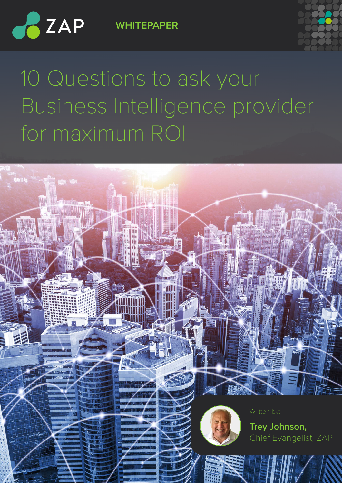

**WHITEPAPER**



# 10 Questions to ask your Business Intelligence provider for maximum ROI

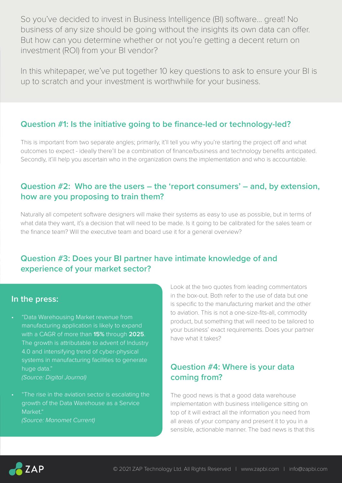So you've decided to invest in Business Intelligence (BI) software… great! No business of any size should be going without the insights its own data can offer. But how can you determine whether or not you're getting a decent return on investment (ROI) from your BI vendor?

In this whitepaper, we've put together 10 key questions to ask to ensure your BI is up to scratch and your investment is worthwhile for your business.

#### **Question #1: Is the initiative going to be finance-led or technology-led?**

This is important from two separate angles; primarily, it'll tell you why you're starting the project off and what outcomes to expect - ideally there'll be a combination of finance/business and technology benefits anticipated. Secondly, it'ill help you ascertain who in the organization owns the implementation and who is accountable.

## **Question #2: Who are the users – the 'report consumers' – and, by extension, how are you proposing to train them?**

Naturally all competent software designers will make their systems as easy to use as possible, but in terms of what data they want, it's a decision that will need to be made. Is it going to be calibrated for the sales team or the finance team? Will the executive team and board use it for a general overview?

#### **Question #3: Does your BI partner have intimate knowledge of and experience of your market sector?**

#### **In the press:**

• "Data Warehousing Market revenue from manufacturing application is likely to expand with a CAGR of more than **15%** through **2025**. The growth is attributable to advent of Industry 4.0 and intensifying trend of cyber-physical systems in manufacturing facilities to generate huge data."

*(Source: Digital Journal)*

• "The rise in the aviation sector is escalating the growth of the Data Warehouse as a Service Market." *(Source: Manomet Current)*

Look at the two quotes from leading commentators in the box-out. Both refer to the use of data but one is specific to the manufacturing market and the other to aviation. This is not a one-size-fits-all, commodity product, but something that will need to be tailored to your business' exact requirements. Does your partner have what it takes?

# **Question #4: Where is your data coming from?**

The good news is that a good data warehouse implementation with business intelligence sitting on top of it will extract all the information you need from all areas of your company and present it to you in a sensible, actionable manner. The bad news is that this

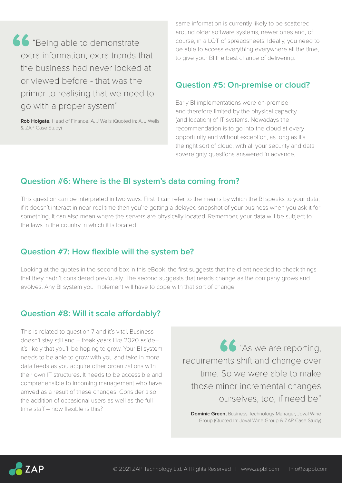**66**<br>ext<br>the "Being able to demonstrate extra information, extra trends that the business had never looked at or viewed before - that was the primer to realising that we need to go with a proper system"

**Rob Holgate,** Head of Finance, A. J Wells (Quoted in: A. J Wells & ZAP Case Study)

same information is currently likely to be scattered around older software systems, newer ones and, of course, in a LOT of spreadsheets. Ideally, you need to be able to access everything everywhere all the time, to give your BI the best chance of delivering.

#### **Question #5: On-premise or cloud?**

Early BI implementations were on-premise and therefore limited by the physical capacity (and location) of IT systems. Nowadays the recommendation is to go into the cloud at every opportunity and without exception, as long as it's the right sort of cloud, with all your security and data sovereignty questions answered in advance.

## **Question #6: Where is the BI system's data coming from?**

This question can be interpreted in two ways. First it can refer to the means by which the BI speaks to your data; if it doesn't interact in near-real time then you're getting a delayed snapshot of your business when you ask it for something. It can also mean where the servers are physically located. Remember, your data will be subject to the laws in the country in which it is located.

#### **Question #7: How flexible will the system be?**

Looking at the quotes in the second box in this eBook, the first suggests that the client needed to check things that they hadn't considered previously. The second suggests that needs change as the company grows and evolves. Any BI system you implement will have to cope with that sort of change.

#### **Question #8: Will it scale affordably?**

This is related to question 7 and it's vital. Business doesn't stay still and – freak years like 2020 aside– it's likely that you'll be hoping to grow. Your BI system needs to be able to grow with you and take in more data feeds as you acquire other organizations with their own IT structures. It needs to be accessible and comprehensible to incoming management who have arrived as a result of these changes. Consider also the addition of occasional users as well as the full time staff – how flexible is this?

"As we are reporting, requirements shift and change over time. So we were able to make those minor incremental changes ourselves, too, if need be" **66**<br>ents :<br>So v

**Dominic Green,** Business Technology Manager, Joval Wine Group (Quoted In: Joval Wine Group & ZAP Case Study)